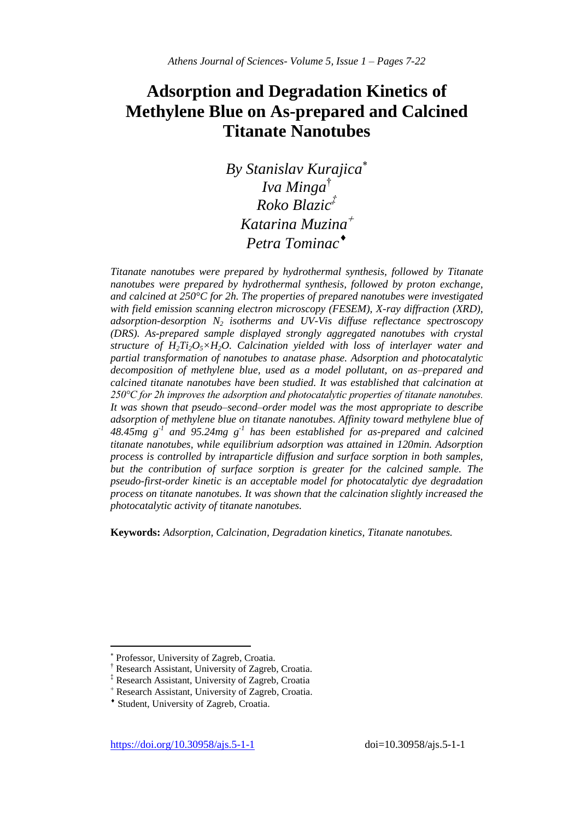# **Adsorption and Degradation Kinetics of Methylene Blue on As-prepared and Calcined Titanate Nanotubes**

*By Stanislav Kurajica Iva Minga*† *Roko Blazic‡ Katarina Muzina Petra Tominac*

*Titanate nanotubes were prepared by hydrothermal synthesis, followed by Titanate nanotubes were prepared by hydrothermal synthesis, followed by proton exchange, and calcined at 250°C for 2h. The properties of prepared nanotubes were investigated with field emission scanning electron microscopy (FESEM), X-ray diffraction (XRD), adsorption-desorption N<sup>2</sup> isotherms and UV-Vis diffuse reflectance spectroscopy (DRS). As-prepared sample displayed strongly aggregated nanotubes with crystal structure of H2Ti2O5×H2O. Calcination yielded with loss of interlayer water and partial transformation of nanotubes to anatase phase. Adsorption and photocatalytic decomposition of methylene blue, used as a model pollutant, on as–prepared and calcined titanate nanotubes have been studied. It was established that calcination at 250°C for 2h improves the adsorption and photocatalytic properties of titanate nanotubes. It was shown that pseudo–second–order model was the most appropriate to describe adsorption of methylene blue on titanate nanotubes. Affinity toward methylene blue of 48.45mg g-1 and 95.24mg g-1 has been established for as-prepared and calcined titanate nanotubes, while equilibrium adsorption was attained in 120min. Adsorption process is controlled by intraparticle diffusion and surface sorption in both samples, but the contribution of surface sorption is greater for the calcined sample. The pseudo-first-order kinetic is an acceptable model for photocatalytic dye degradation process on titanate nanotubes. It was shown that the calcination slightly increased the photocatalytic activity of titanate nanotubes.*

**Keywords:** *Adsorption, Calcination, Degradation kinetics, Titanate nanotubes.*

 $\overline{\phantom{a}}$ 

<sup>×</sup> Professor, University of Zagreb, Croatia.

<sup>†</sup> Research Assistant, University of Zagreb, Croatia.

Research Assistant, University of Zagreb, Croatia

Research Assistant, University of Zagreb, Croatia.

Student, University of Zagreb, Croatia.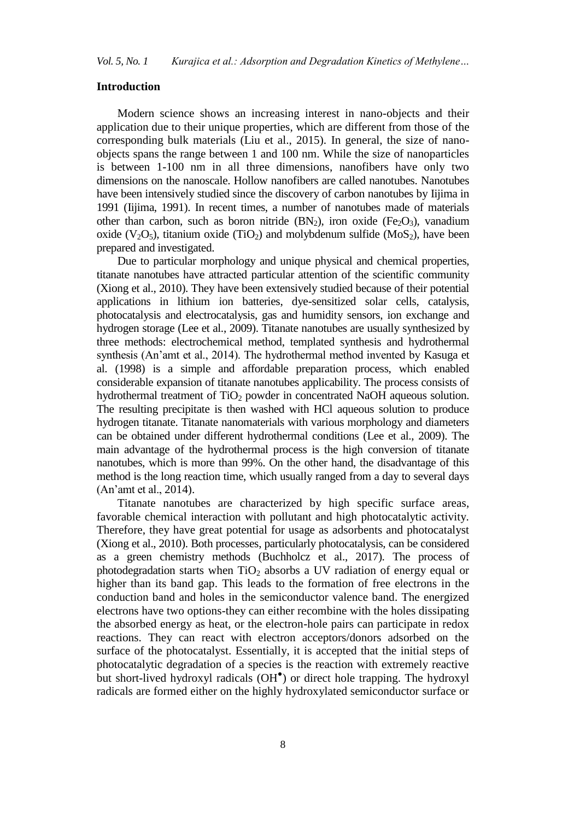#### **Introduction**

Modern science shows an increasing interest in nano-objects and their application due to their unique properties, which are different from those of the corresponding bulk materials (Liu et al., 2015). In general, the size of nanoobjects spans the range between 1 and 100 nm. While the size of nanoparticles is between 1-100 nm in all three dimensions, nanofibers have only two dimensions on the nanoscale. Hollow nanofibers are called nanotubes. Nanotubes have been intensively studied since the discovery of carbon nanotubes by Iijima in 1991 (Iijima, 1991). In recent times, a number of nanotubes made of materials other than carbon, such as boron nitride  $(BN_2)$ , iron oxide  $(Fe_2O_3)$ , vanadium oxide  $(V_2O_5)$ , titanium oxide (TiO<sub>2</sub>) and molybdenum sulfide (MoS<sub>2</sub>), have been prepared and investigated.

Due to particular morphology and unique physical and chemical properties, titanate nanotubes have attracted particular attention of the scientific community (Xiong et al., 2010). They have been extensively studied because of their potential applications in lithium ion batteries, dye-sensitized solar cells, catalysis, photocatalysis and electrocatalysis, gas and humidity sensors, ion exchange and hydrogen storage (Lee et al., 2009). Titanate nanotubes are usually synthesized by three methods: electrochemical method, templated synthesis and hydrothermal synthesis (An'amt et al., 2014). The hydrothermal method invented by Kasuga et al. (1998) is a simple and affordable preparation process, which enabled considerable expansion of titanate nanotubes applicability. The process consists of hydrothermal treatment of  $TiO<sub>2</sub>$  powder in concentrated NaOH aqueous solution. The resulting precipitate is then washed with HCl aqueous solution to produce hydrogen titanate. Titanate nanomaterials with various morphology and diameters can be obtained under different hydrothermal conditions (Lee et al., 2009). The main advantage of the hydrothermal process is the high conversion of titanate nanotubes, which is more than 99%. On the other hand, the disadvantage of this method is the long reaction time, which usually ranged from a day to several days (An'amt et al., 2014).

Titanate nanotubes are characterized by high specific surface areas, favorable chemical interaction with pollutant and high photocatalytic activity. Therefore, they have great potential for usage as adsorbents and photocatalyst (Xiong et al., 2010). Both processes, particularly photocatalysis, can be considered as a green chemistry methods (Buchholcz et al., 2017). The process of photodegradation starts when  $TiO<sub>2</sub>$  absorbs a UV radiation of energy equal or higher than its band gap. This leads to the formation of free electrons in the conduction band and holes in the semiconductor valence band. The energized electrons have two options-they can either recombine with the holes dissipating the absorbed energy as heat, or the electron-hole pairs can participate in redox reactions. They can react with electron acceptors/donors adsorbed on the surface of the photocatalyst. Essentially, it is accepted that the initial steps of photocatalytic degradation of a species is the reaction with extremely reactive but short-lived hydroxyl radicals (OH● ) or direct hole trapping. The hydroxyl radicals are formed either on the highly hydroxylated semiconductor surface or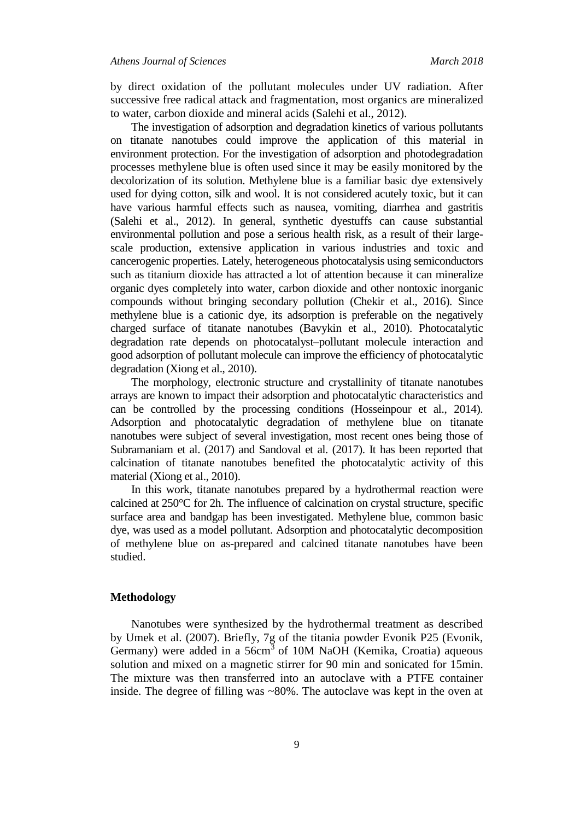by direct oxidation of the pollutant molecules under UV radiation. After successive free radical attack and fragmentation, most organics are mineralized to water, carbon dioxide and mineral acids (Salehi et al., 2012).

The investigation of adsorption and degradation kinetics of various pollutants on titanate nanotubes could improve the application of this material in environment protection. For the investigation of adsorption and photodegradation processes methylene blue is often used since it may be easily monitored by the decolorization of its solution. Methylene blue is a familiar basic dye extensively used for dying cotton, silk and wool. It is not considered acutely toxic, but it can have various harmful effects such as nausea, vomiting, diarrhea and gastritis (Salehi et al., 2012). In general, synthetic dyestuffs can cause substantial environmental pollution and pose a serious health risk, as a result of their largescale production, extensive application in various industries and toxic and cancerogenic properties. Lately, heterogeneous photocatalysis using semiconductors such as titanium dioxide has attracted a lot of attention because it can mineralize organic dyes completely into water, carbon dioxide and other nontoxic inorganic compounds without bringing secondary pollution (Chekir et al., 2016). Since methylene blue is a cationic dye, its adsorption is preferable on the negatively charged surface of titanate nanotubes (Bavykin et al., 2010). Photocatalytic degradation rate depends on photocatalyst–pollutant molecule interaction and good adsorption of pollutant molecule can improve the efficiency of photocatalytic degradation (Xiong et al., 2010).

The morphology, electronic structure and crystallinity of titanate nanotubes arrays are known to impact their adsorption and photocatalytic characteristics and can be controlled by the processing conditions (Hosseinpour et al., 2014). Adsorption and photocatalytic degradation of methylene blue on titanate nanotubes were subject of several investigation, most recent ones being those of Subramaniam et al. (2017) and Sandoval et al. (2017). It has been reported that calcination of titanate nanotubes benefited the photocatalytic activity of this material (Xiong et al., 2010).

In this work, titanate nanotubes prepared by a hydrothermal reaction were calcined at 250°C for 2h. The influence of calcination on crystal structure, specific surface area and bandgap has been investigated. Methylene blue, common basic dye, was used as a model pollutant. Adsorption and photocatalytic decomposition of methylene blue on as-prepared and calcined titanate nanotubes have been studied.

# **Methodology**

Nanotubes were synthesized by the hydrothermal treatment as described by Umek et al. (2007). Briefly, 7g of the titania powder Evonik P25 (Evonik, Germany) were added in a  $56 \text{cm}^3$  of 10M NaOH (Kemika, Croatia) aqueous solution and mixed on a magnetic stirrer for 90 min and sonicated for 15min. The mixture was then transferred into an autoclave with a PTFE container inside. The degree of filling was ~80%. The autoclave was kept in the oven at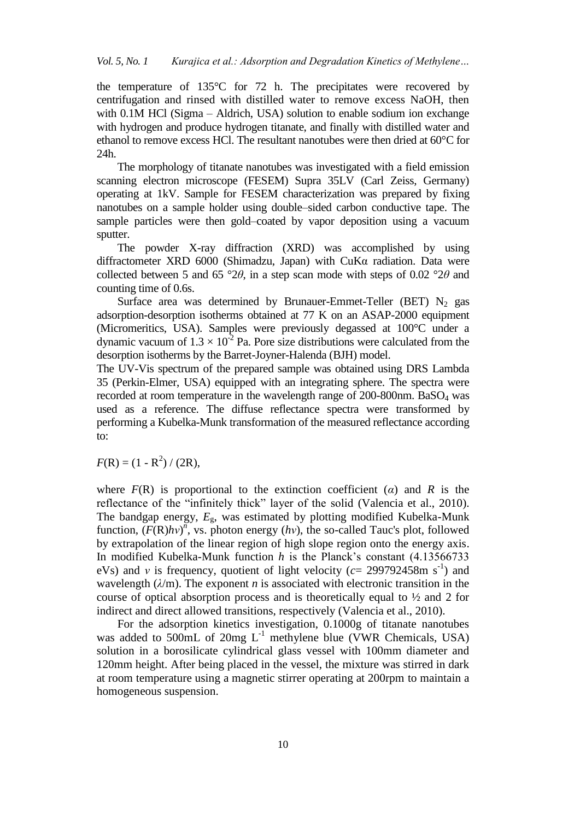the temperature of 135°C for 72 h. The precipitates were recovered by centrifugation and rinsed with distilled water to remove excess NaOH, then with 0.1M HCl (Sigma – Aldrich, USA) solution to enable sodium ion exchange with hydrogen and produce hydrogen titanate, and finally with distilled water and ethanol to remove excess HCl. The resultant nanotubes were then dried at 60°C for 24h.

The morphology of titanate nanotubes was investigated with a field emission scanning electron microscope (FESEM) Supra 35LV (Carl Zeiss, Germany) operating at 1kV. Sample for FESEM characterization was prepared by fixing nanotubes on a sample holder using double–sided carbon conductive tape. The sample particles were then gold–coated by vapor deposition using a vacuum sputter.

The powder X-ray diffraction (XRD) was accomplished by using diffractometer XRD 6000 (Shimadzu, Japan) with CuKα radiation. Data were collected between 5 and 65 °2*θ*, in a step scan mode with steps of 0.02 °2*θ* and counting time of 0.6s.

Surface area was determined by Brunauer-Emmet-Teller (BET)  $N_2$  gas adsorption-desorption isotherms obtained at 77 K on an ASAP-2000 equipment (Micromeritics, USA). Samples were previously degassed at 100°C under a dynamic vacuum of  $1.3 \times 10^{-2}$  Pa. Pore size distributions were calculated from the desorption isotherms by the Barret-Joyner-Halenda (BJH) model.

The UV-Vis spectrum of the prepared sample was obtained using DRS Lambda 35 (Perkin-Elmer, USA) equipped with an integrating sphere. The spectra were recorded at room temperature in the wavelength range of 200-800nm. BaSO<sup>4</sup> was used as a reference. The diffuse reflectance spectra were transformed by performing a Kubelka-Munk transformation of the measured reflectance according to:

 $F(R) = (1 - R^2) / (2R),$ 

where  $F(R)$  is proportional to the extinction coefficient (*a*) and *R* is the reflectance of the "infinitely thick" layer of the solid (Valencia et al., 2010). The bandgap energy, *E*g, was estimated by plotting modified Kubelka-Munk function,  $(F(R)hv)^n$ , vs. photon energy (*hv*), the so-called Tauc's plot, followed by extrapolation of the linear region of high slope region onto the energy axis. In modified Kubelka-Munk function *h* is the Planck's constant (4.13566733 eVs) and *v* is frequency, quotient of light velocity ( $c = 299792458$ m s<sup>-1</sup>) and wavelength  $(\lambda/m)$ . The exponent *n* is associated with electronic transition in the course of optical absorption process and is theoretically equal to  $\frac{1}{2}$  and 2 for indirect and direct allowed transitions, respectively (Valencia et al., 2010).

For the adsorption kinetics investigation, 0.1000g of titanate nanotubes was added to 500mL of 20mg  $L^{-1}$  methylene blue (VWR Chemicals, USA) solution in a borosilicate cylindrical glass vessel with 100mm diameter and 120mm height. After being placed in the vessel, the mixture was stirred in dark at room temperature using a magnetic stirrer operating at 200rpm to maintain a homogeneous suspension.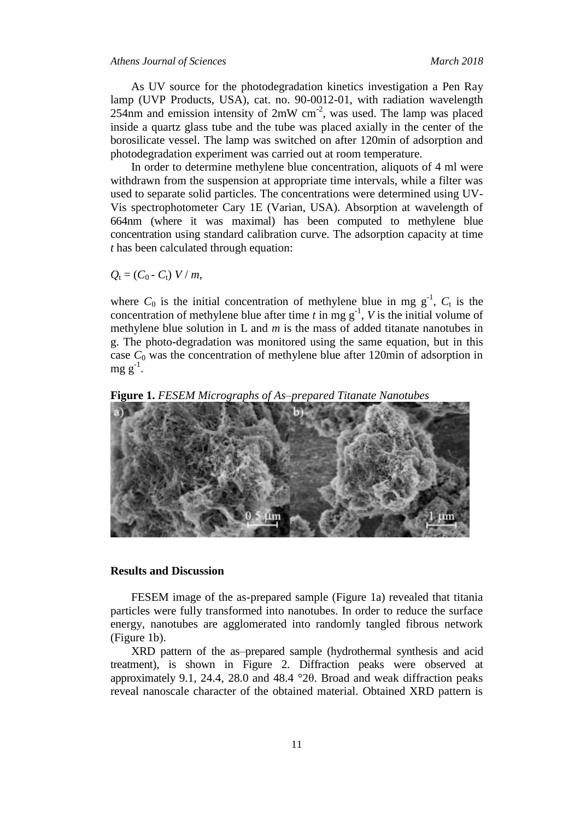As UV source for the photodegradation kinetics investigation a Pen Ray lamp (UVP Products, USA), cat. no. 90-0012-01, with radiation wavelength 254nm and emission intensity of  $2mW$  cm<sup>-2</sup>, was used. The lamp was placed inside a quartz glass tube and the tube was placed axially in the center of the borosilicate vessel. The lamp was switched on after 120min of adsorption and photodegradation experiment was carried out at room temperature.

In order to determine methylene blue concentration, aliquots of 4 ml were withdrawn from the suspension at appropriate time intervals, while a filter was used to separate solid particles. The concentrations were determined using UV-Vis spectrophotometer Cary 1E (Varian, USA). Absorption at wavelength of 664nm (where it was maximal) has been computed to methylene blue concentration using standard calibration curve. The adsorption capacity at time *t* has been calculated through equation:

 $Q_t = (C_0 - C_t) V/m$ 

where  $C_0$  is the initial concentration of methylene blue in mg  $g^{-1}$ ,  $C_t$  is the concentration of methylene blue after time  $t$  in mg  $g^{-1}$ ,  $V$  is the initial volume of methylene blue solution in L and *m* is the mass of added titanate nanotubes in g. The photo-degradation was monitored using the same equation, but in this case  $C_0$  was the concentration of methylene blue after 120min of adsorption in  $mg g^{-1}$ .

**Figure 1.** *FESEM Micrographs of As–prepared Titanate Nanotubes*



## **Results and Discussion**

FESEM image of the as-prepared sample (Figure 1a) revealed that titania particles were fully transformed into nanotubes. In order to reduce the surface energy, nanotubes are agglomerated into randomly tangled fibrous network (Figure 1b).

XRD pattern of the as–prepared sample (hydrothermal synthesis and acid treatment), is shown in Figure 2. Diffraction peaks were observed at approximately 9.1, 24.4, 28.0 and 48.4 °2θ. Broad and weak diffraction peaks reveal nanoscale character of the obtained material. Obtained XRD pattern is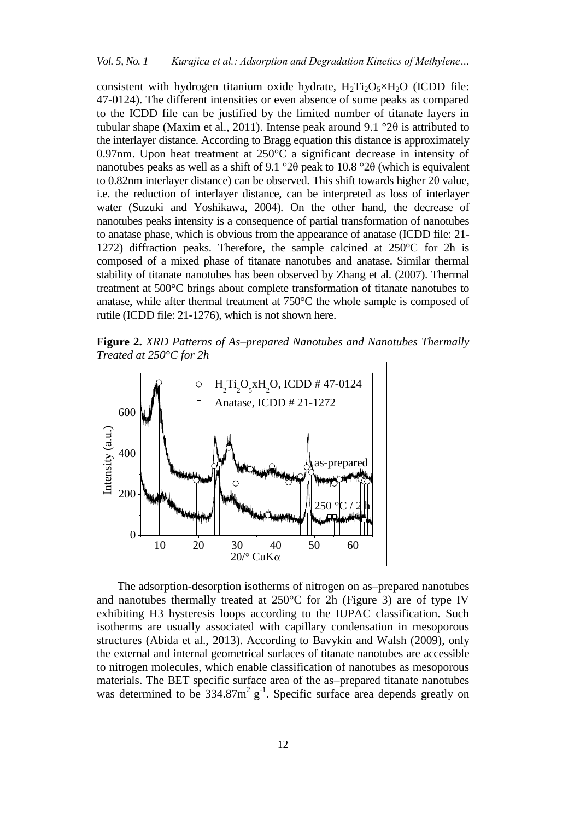consistent with hydrogen titanium oxide hydrate,  $H_2Ti_2O_5 \times H_2O$  (ICDD file: 47-0124). The different intensities or even absence of some peaks as compared to the ICDD file can be justified by the limited number of titanate layers in tubular shape (Maxim et al., 2011). Intense peak around 9.1 °2 $\theta$  is attributed to the interlayer distance. According to Bragg equation this distance is approximately 0.97nm. Upon heat treatment at 250°C a significant decrease in intensity of nanotubes peaks as well as a shift of 9.1 °2θ peak to 10.8 °2θ (which is equivalent to 0.82nm interlayer distance) can be observed. This shift towards higher 2θ value, i.e. the reduction of interlayer distance, can be interpreted as loss of interlayer water (Suzuki and Yoshikawa, 2004). On the other hand, the decrease of nanotubes peaks intensity is a consequence of partial transformation of nanotubes to anatase phase, which is obvious from the appearance of anatase (ICDD file: 21- 1272) diffraction peaks. Therefore, the sample calcined at 250°C for 2h is composed of a mixed phase of titanate nanotubes and anatase. Similar thermal stability of titanate nanotubes has been observed by Zhang et al. (2007). Thermal treatment at 500°C brings about complete transformation of titanate nanotubes to anatase, while after thermal treatment at 750°C the whole sample is composed of rutile (ICDD file: 21-1276), which is not shown here.

**Figure 2.** *XRD Patterns of As–prepared Nanotubes and Nanotubes Thermally Treated at 250°C for 2h*



The adsorption-desorption isotherms of nitrogen on as–prepared nanotubes and nanotubes thermally treated at 250°C for 2h (Figure 3) are of type IV exhibiting H3 hysteresis loops according to the IUPAC classification. Such isotherms are usually associated with capillary condensation in mesoporous structures (Abida et al., 2013). According to Bavykin and Walsh (2009), only the external and internal geometrical surfaces of titanate nanotubes are accessible to nitrogen molecules, which enable classification of nanotubes as mesoporous materials. The BET specific surface area of the as–prepared titanate nanotubes was determined to be  $334.87 \text{m}^2$  g<sup>-1</sup>. Specific surface area depends greatly on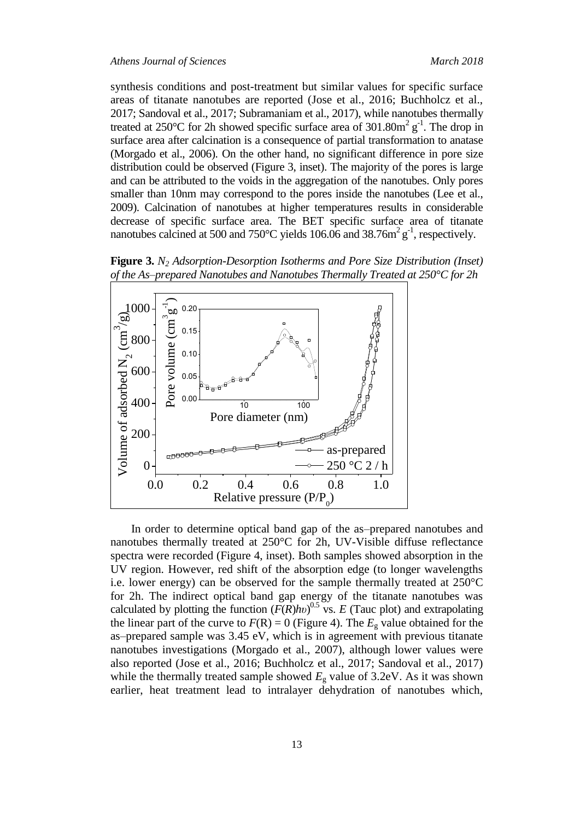synthesis conditions and post-treatment but similar values for specific surface areas of titanate nanotubes are reported (Jose et al., 2016; Buchholcz et al., 2017; Sandoval et al., 2017; Subramaniam et al., 2017), while nanotubes thermally treated at 250°C for 2h showed specific surface area of  $301.80m^2 g^{-1}$ . The drop in surface area after calcination is a consequence of partial transformation to anatase (Morgado et al., 2006). On the other hand, no significant difference in pore size distribution could be observed (Figure 3, inset). The majority of the pores is large and can be attributed to the voids in the aggregation of the nanotubes. Only pores smaller than 10nm may correspond to the pores inside the nanotubes (Lee et al., 2009). Calcination of nanotubes at higher temperatures results in considerable decrease of specific surface area. The BET specific surface area of titanate nanotubes calcined at 500 and 750 $^{\circ}$ C yields 106.06 and 38.76m<sup>2</sup> g<sup>-1</sup>, respectively.



**Figure 3.** *N<sup>2</sup> Adsorption-Desorption Isotherms and Pore Size Distribution (Inset) of the As–prepared Nanotubes and Nanotubes Thermally Treated at 250°C for 2h*

In order to determine optical band gap of the as–prepared nanotubes and nanotubes thermally treated at 250°C for 2h, UV-Visible diffuse reflectance spectra were recorded (Figure 4, inset). Both samples showed absorption in the UV region. However, red shift of the absorption edge (to longer wavelengths i.e. lower energy) can be observed for the sample thermally treated at 250°C for 2h. The indirect optical band gap energy of the titanate nanotubes was calculated by plotting the function  $(F(R)hv)^{0.5}$  vs. *E* (Tauc plot) and extrapolating the linear part of the curve to  $F(R) = 0$  (Figure 4). The  $E<sub>g</sub>$  value obtained for the as–prepared sample was 3.45 eV, which is in agreement with previous titanate nanotubes investigations (Morgado et al., 2007), although lower values were also reported (Jose et al., 2016; Buchholcz et al., 2017; Sandoval et al., 2017) while the thermally treated sample showed  $E<sub>g</sub>$  value of 3.2eV. As it was shown earlier, heat treatment lead to intralayer dehydration of nanotubes which,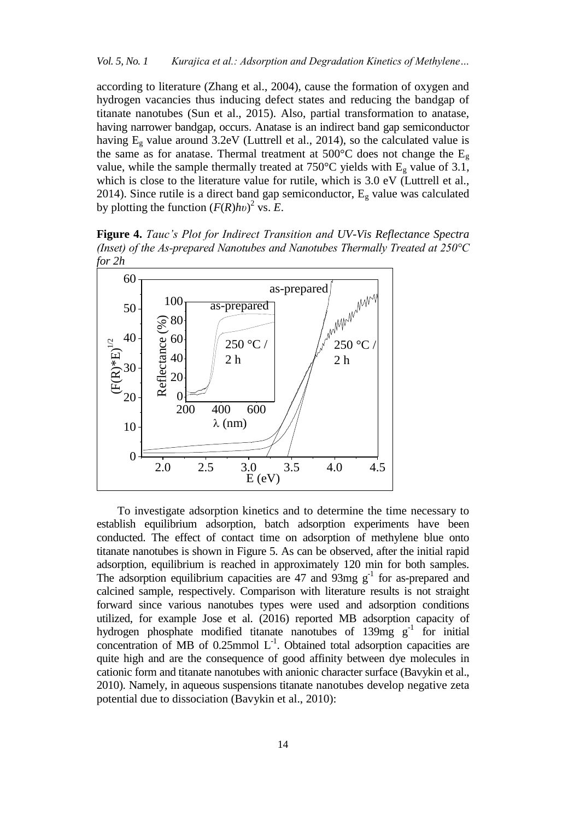according to literature (Zhang et al., 2004), cause the formation of oxygen and hydrogen vacancies thus inducing defect states and reducing the bandgap of titanate nanotubes (Sun et al., 2015). Also, partial transformation to anatase, having narrower bandgap, occurs. Anatase is an indirect band gap semiconductor having  $E_g$  value around 3.2eV (Luttrell et al., 2014), so the calculated value is the same as for anatase. Thermal treatment at 500 $^{\circ}$ C does not change the E<sub>g</sub> value, while the sample thermally treated at 750°C yields with  $E<sub>g</sub>$  value of 3.1, which is close to the literature value for rutile, which is 3.0 eV (Luttrell et al., 2014). Since rutile is a direct band gap semiconductor,  $E<sub>g</sub>$  value was calculated by plotting the function  $(F(R)hv)^2$  vs. *E*.

**Figure 4.** *Tauc's Plot for Indirect Transition and UV-Vis Reflectance Spectra (Inset) of the As-prepared Nanotubes and Nanotubes Thermally Treated at 250°C for 2h*



To investigate adsorption kinetics and to determine the time necessary to establish equilibrium adsorption, batch adsorption experiments have been conducted. The effect of contact time on adsorption of methylene blue onto titanate nanotubes is shown in Figure 5. As can be observed, after the initial rapid adsorption, equilibrium is reached in approximately 120 min for both samples. The adsorption equilibrium capacities are  $47$  and  $93$ mg g<sup>-1</sup> for as-prepared and calcined sample, respectively. Comparison with literature results is not straight forward since various nanotubes types were used and adsorption conditions utilized, for example Jose et al. (2016) reported MB adsorption capacity of hydrogen phosphate modified titanate nanotubes of  $139mg$  g<sup>-1</sup> for initial concentration of MB of  $0.25$ mmol  $L^{-1}$ . Obtained total adsorption capacities are quite high and are the consequence of good affinity between dye molecules in cationic form and titanate nanotubes with anionic character surface (Bavykin et al., 2010). Namely, in aqueous suspensions titanate nanotubes develop negative zeta potential due to dissociation (Bavykin et al., 2010):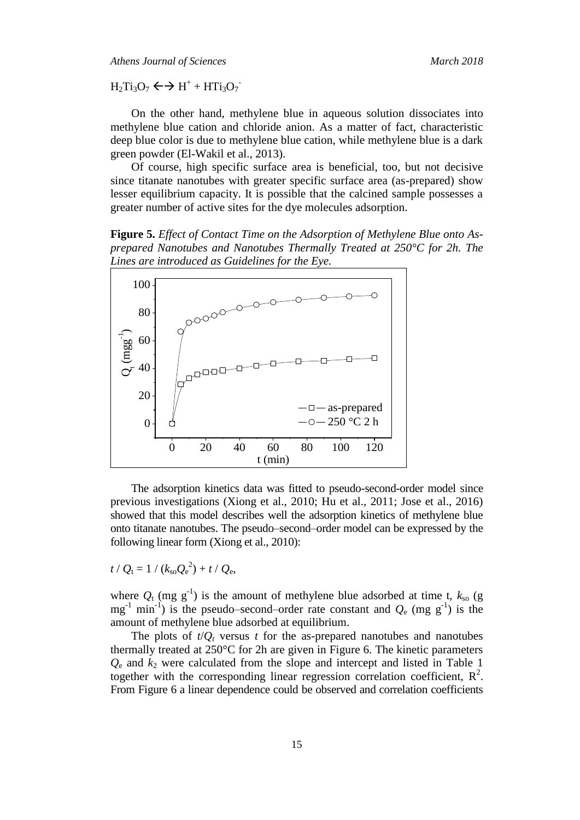*Athens Journal of Sciences March 2018*

 $H_2Ti_3O_7 \leftrightarrow H^+ + HTi_3O_7$ 

On the other hand, methylene blue in aqueous solution dissociates into methylene blue cation and chloride anion. As a matter of fact, characteristic deep blue color is due to methylene blue cation, while methylene blue is a dark green powder (El-Wakil et al., 2013).

Of course, high specific surface area is beneficial, too, but not decisive since titanate nanotubes with greater specific surface area (as-prepared) show lesser equilibrium capacity. It is possible that the calcined sample possesses a greater number of active sites for the dye molecules adsorption.

**Figure 5.** *Effect of Contact Time on the Adsorption of Methylene Blue onto Asprepared Nanotubes and Nanotubes Thermally Treated at 250°C for 2h. The Lines are introduced as Guidelines for the Eye.*



The adsorption kinetics data was fitted to pseudo-second-order model since previous investigations (Xiong et al., 2010; Hu et al., 2011; Jose et al., 2016) showed that this model describes well the adsorption kinetics of methylene blue onto titanate nanotubes. The pseudo–second–order model can be expressed by the following linear form (Xiong et al., 2010):

$$
t / Q_{\rm t} = 1 / (k_{\rm so} Q_{\rm e}^2) + t / Q_{\rm e},
$$

where  $Q_t$  (mg g<sup>-1</sup>) is the amount of methylene blue adsorbed at time t,  $k_{so}$  (g  $mg^{-1}$  min<sup>-1</sup>) is the pseudo–second–order rate constant and  $Q_e$  (mg g<sup>-1</sup>) is the amount of methylene blue adsorbed at equilibrium.

The plots of  $t/Q_t$  versus  $t$  for the as-prepared nanotubes and nanotubes thermally treated at 250°C for 2h are given in Figure 6. The kinetic parameters *Q*<sup>e</sup> and *k*<sup>2</sup> were calculated from the slope and intercept and listed in Table 1 together with the corresponding linear regression correlation coefficient,  $R^2$ . From Figure 6 a linear dependence could be observed and correlation coefficients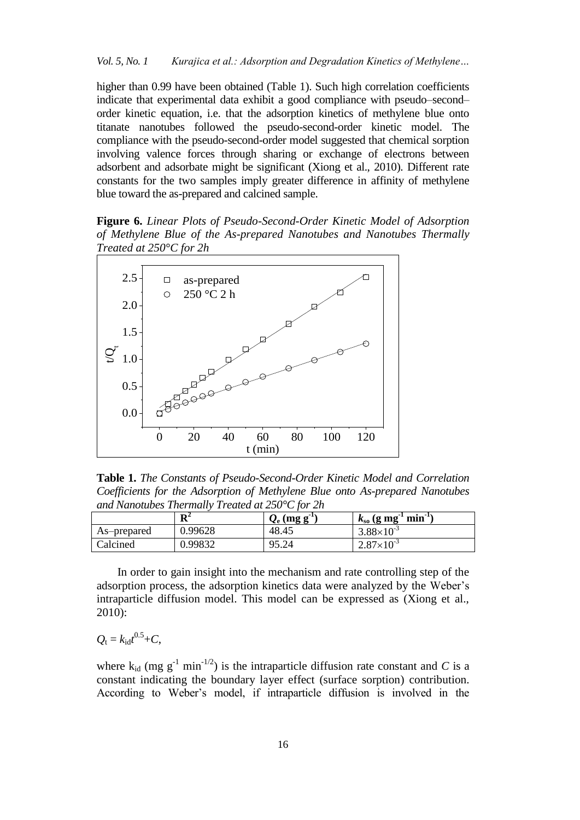higher than 0.99 have been obtained (Table 1). Such high correlation coefficients indicate that experimental data exhibit a good compliance with pseudo–second– order kinetic equation, i.e. that the adsorption kinetics of methylene blue onto titanate nanotubes followed the pseudo-second-order kinetic model. The compliance with the pseudo-second-order model suggested that chemical sorption involving valence forces through sharing or exchange of electrons between adsorbent and adsorbate might be significant (Xiong et al., 2010). Different rate constants for the two samples imply greater difference in affinity of methylene blue toward the as-prepared and calcined sample.

**Figure 6.** *Linear Plots of Pseudo-Second-Order Kinetic Model of Adsorption of Methylene Blue of the As-prepared Nanotubes and Nanotubes Thermally Treated at 250°C for 2h*



**Table 1.** *The Constants of Pseudo-Second-Order Kinetic Model and Correlation Coefficients for the Adsorption of Methylene Blue onto As-prepared Nanotubes and Nanotubes Thermally Treated at 250°C for 2h*

|             | D <sup>2</sup><br>v | $Q_{\rm e}$ (mg g <sup>-1</sup> ) | $min^{-1}$<br>$k_{\rm so}$ (g mg |
|-------------|---------------------|-----------------------------------|----------------------------------|
| As-prepared | 0.99628             | 48.45                             | $3.88 \times 10^{-3}$            |
| Calcined    | 0.99832             | 95.24                             | $2.87\times10^{-3}$              |

In order to gain insight into the mechanism and rate controlling step of the adsorption process, the adsorption kinetics data were analyzed by the Weber's intraparticle diffusion model. This model can be expressed as (Xiong et al., 2010):

$$
Q_{\rm t}=k_{\rm id}t^{0.5}+C,
$$

where  $k_{id}$  (mg  $g^{-1}$  min<sup>-1/2</sup>) is the intraparticle diffusion rate constant and *C* is a constant indicating the boundary layer effect (surface sorption) contribution. According to Weber's model, if intraparticle diffusion is involved in the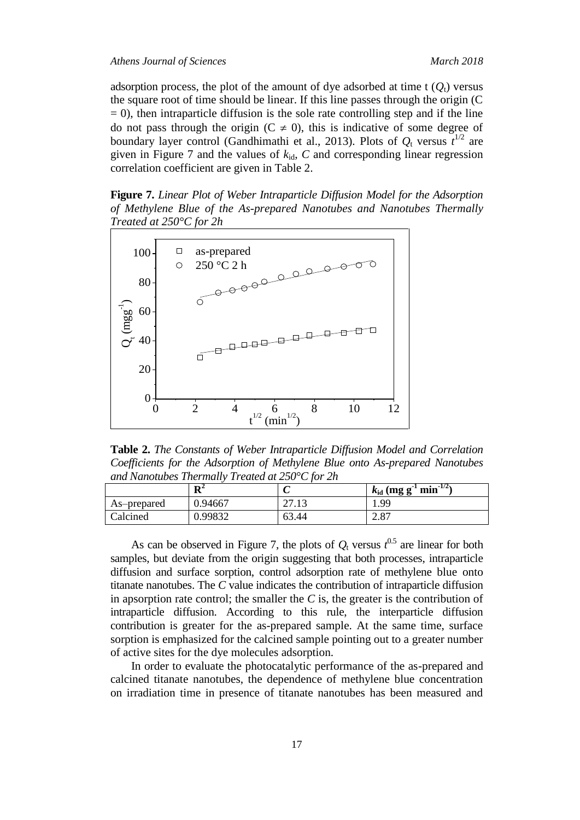adsorption process, the plot of the amount of dye adsorbed at time t  $(Q_t)$  versus the square root of time should be linear. If this line passes through the origin (C  $= 0$ ), then intraparticle diffusion is the sole rate controlling step and if the line do not pass through the origin ( $C \neq 0$ ), this is indicative of some degree of boundary layer control (Gandhimathi et al., 2013). Plots of  $Q_t$  versus  $t^{1/2}$  are given in Figure 7 and the values of  $k_{id}$ ,  $C$  and corresponding linear regression correlation coefficient are given in Table 2.

**Figure 7.** *Linear Plot of Weber Intraparticle Diffusion Model for the Adsorption of Methylene Blue of the As-prepared Nanotubes and Nanotubes Thermally Treated at 250°C for 2h*



**Table 2.** *The Constants of Weber Intraparticle Diffusion Model and Correlation Coefficients for the Adsorption of Methylene Blue onto As-prepared Nanotubes and Nanotubes Thermally Treated at 250°C for 2h*

|             | $\mathbf{R}^2$ | ັ                 | $\text{min}^{-1/2}$<br>$k_{\rm id}$ (mg g |
|-------------|----------------|-------------------|-------------------------------------------|
| As-prepared | 0.94667        | 12<br>די<br>21.IJ | 1.99                                      |
| Calcined    | 0.99832        | 63.44             | 2.87                                      |

As can be observed in Figure 7, the plots of  $Q_t$  versus  $t^{0.5}$  are linear for both samples, but deviate from the origin suggesting that both processes, intraparticle diffusion and surface sorption, control adsorption rate of methylene blue onto titanate nanotubes. The *C* value indicates the contribution of intraparticle diffusion in apsorption rate control; the smaller the *C* is, the greater is the contribution of intraparticle diffusion. According to this rule, the interparticle diffusion contribution is greater for the as-prepared sample. At the same time, surface sorption is emphasized for the calcined sample pointing out to a greater number of active sites for the dye molecules adsorption.

In order to evaluate the photocatalytic performance of the as-prepared and calcined titanate nanotubes, the dependence of methylene blue concentration on irradiation time in presence of titanate nanotubes has been measured and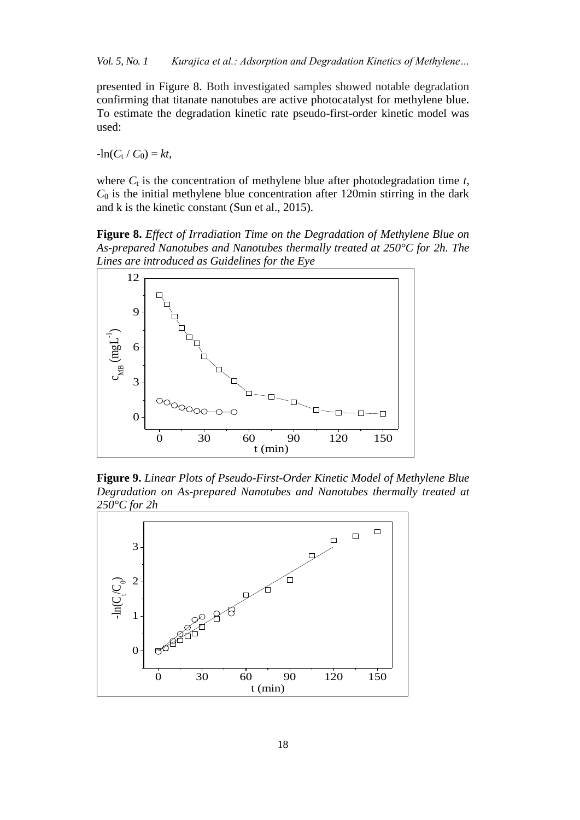presented in Figure 8. Both investigated samples showed notable degradation confirming that titanate nanotubes are active photocatalyst for methylene blue. To estimate the degradation kinetic rate pseudo-first-order kinetic model was used:

 $-\ln(C_t / C_0) = kt$ ,

where  $C_t$  is the concentration of methylene blue after photodegradation time  $t$ ,  $C_0$  is the initial methylene blue concentration after 120min stirring in the dark and k is the kinetic constant (Sun et al., 2015).

**Figure 8.** *Effect of Irradiation Time on the Degradation of Methylene Blue on As-prepared Nanotubes and Nanotubes thermally treated at 250°C for 2h. The Lines are introduced as Guidelines for the Eye*



**Figure 9.** *Linear Plots of Pseudo-First-Order Kinetic Model of Methylene Blue Degradation on As-prepared Nanotubes and Nanotubes thermally treated at 250°C for 2h*

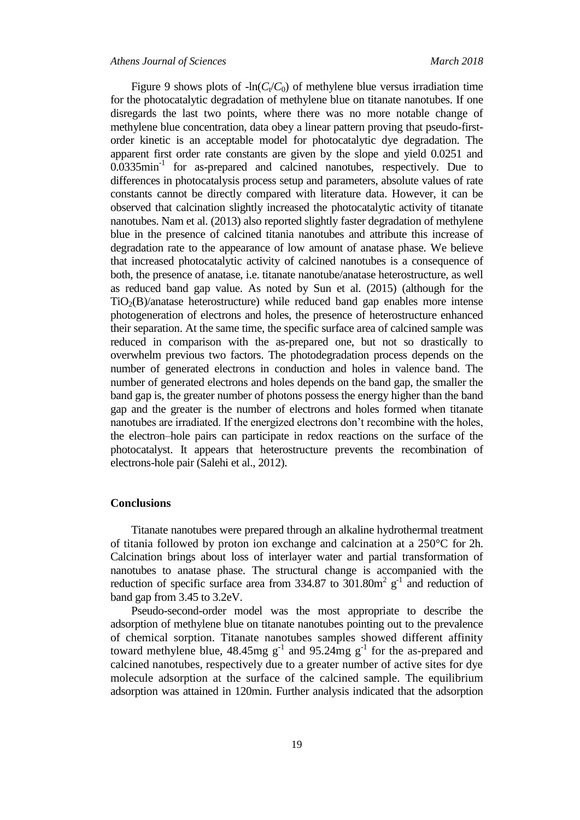Figure 9 shows plots of  $-\ln(C_{\ell}/C_0)$  of methylene blue versus irradiation time for the photocatalytic degradation of methylene blue on titanate nanotubes. If one disregards the last two points, where there was no more notable change of methylene blue concentration, data obey a linear pattern proving that pseudo-firstorder kinetic is an acceptable model for photocatalytic dye degradation. The apparent first order rate constants are given by the slope and yield 0.0251 and 0.0335min<sup>-1</sup> for as-prepared and calcined nanotubes, respectively. Due to differences in photocatalysis process setup and parameters, absolute values of rate constants cannot be directly compared with literature data. However, it can be observed that calcination slightly increased the photocatalytic activity of titanate nanotubes. Nam et al. (2013) also reported slightly faster degradation of methylene blue in the presence of calcined titania nanotubes and attribute this increase of degradation rate to the appearance of low amount of anatase phase. We believe that increased photocatalytic activity of calcined nanotubes is a consequence of both, the presence of anatase, i.e. titanate nanotube/anatase heterostructure, as well as reduced band gap value. As noted by Sun et al. (2015) (although for the  $TiO<sub>2</sub>(B)/anatase heterostructure)$  while reduced band gap enables more intense photogeneration of electrons and holes, the presence of heterostructure enhanced their separation. At the same time, the specific surface area of calcined sample was reduced in comparison with the as-prepared one, but not so drastically to overwhelm previous two factors. The photodegradation process depends on the number of generated electrons in conduction and holes in valence band. The number of generated electrons and holes depends on the band gap, the smaller the band gap is, the greater number of photons possess the energy higher than the band gap and the greater is the number of electrons and holes formed when titanate nanotubes are irradiated. If the energized electrons don't recombine with the holes, the electron–hole pairs can participate in redox reactions on the surface of the photocatalyst. It appears that heterostructure prevents the recombination of electrons-hole pair (Salehi et al., 2012).

## **Conclusions**

Titanate nanotubes were prepared through an alkaline hydrothermal treatment of titania followed by proton ion exchange and calcination at a 250°C for 2h. Calcination brings about loss of interlayer water and partial transformation of nanotubes to anatase phase. The structural change is accompanied with the reduction of specific surface area from 334.87 to  $301.80\text{m}^2$  g<sup>-1</sup> and reduction of band gap from 3.45 to 3.2eV.

Pseudo-second-order model was the most appropriate to describe the adsorption of methylene blue on titanate nanotubes pointing out to the prevalence of chemical sorption. Titanate nanotubes samples showed different affinity toward methylene blue,  $48.45mg$  g<sup>-1</sup> and  $95.24mg$  g<sup>-1</sup> for the as-prepared and calcined nanotubes, respectively due to a greater number of active sites for dye molecule adsorption at the surface of the calcined sample. The equilibrium adsorption was attained in 120min. Further analysis indicated that the adsorption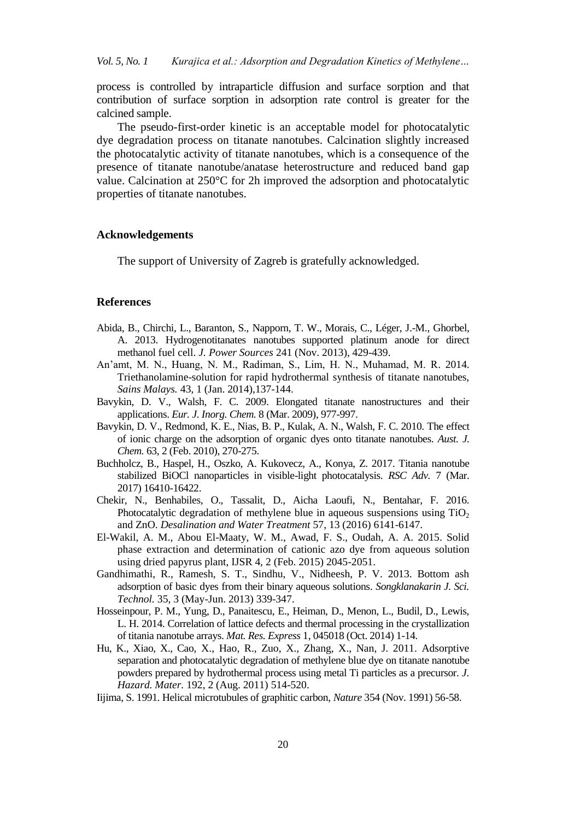process is controlled by intraparticle diffusion and surface sorption and that contribution of surface sorption in adsorption rate control is greater for the calcined sample.

The pseudo-first-order kinetic is an acceptable model for photocatalytic dye degradation process on titanate nanotubes. Calcination slightly increased the photocatalytic activity of titanate nanotubes, which is a consequence of the presence of titanate nanotube/anatase heterostructure and reduced band gap value. Calcination at 250°C for 2h improved the adsorption and photocatalytic properties of titanate nanotubes.

## **Acknowledgements**

The support of University of Zagreb is gratefully acknowledged.

#### **References**

- Abida, B., Chirchi, L., Baranton, S., Napporn, T. W., Morais, C., Léger, J.-M., Ghorbel, A. 2013. Hydrogenotitanates nanotubes supported platinum anode for direct methanol fuel cell. *J. Power Sources* 241 (Nov. 2013), 429-439.
- An'amt, M. N., Huang, N. M., Radiman, S., Lim, H. N., Muhamad, M. R. 2014. Triethanolamine-solution for rapid hydrothermal synthesis of titanate nanotubes, *Sains Malays.* 43, 1 (Jan. 2014),137-144.
- Bavykin, D. V., Walsh, F. C. 2009. Elongated titanate nanostructures and their applications. *Eur. J. Inorg. Chem.* 8 (Mar. 2009), 977-997.
- Bavykin, D. V., Redmond, K. E., Nias, B. P., Kulak, A. N., Walsh, F. C. 2010. The effect of ionic charge on the adsorption of organic dyes onto titanate nanotubes. *Aust. J. Chem.* 63, 2 (Feb. 2010), 270-275.
- Buchholcz, B., Haspel, H., Oszko, A. Kukovecz, A., Konya, Z. 2017. Titania nanotube stabilized BiOCl nanoparticles in visible-light photocatalysis. *RSC Adv.* 7 (Mar. 2017) 16410-16422.
- Chekir, N., Benhabiles, O., Tassalit, D., Aicha Laoufi, N., Bentahar, F. 2016. Photocatalytic degradation of methylene blue in aqueous suspensions using  $TiO<sub>2</sub>$ and ZnO. *Desalination and Water Treatment* 57, 13 (2016) 6141-6147.
- El-Wakil, A. M., Abou El-Maaty, W. M., Awad, F. S., Oudah, A. A. 2015. Solid phase extraction and determination of cationic azo dye from aqueous solution using dried papyrus plant, IJSR 4, 2 (Feb. 2015) 2045-2051.
- Gandhimathi, R., Ramesh, S. T., Sindhu, V., Nidheesh, P. V. 2013. Bottom ash adsorption of basic dyes from their binary aqueous solutions. *Songklanakarin J. Sci. Technol.* 35, 3 (May-Jun. 2013) 339-347.
- Hosseinpour, P. M., Yung, D., Panaitescu, E., Heiman, D., Menon, L., Budil, D., Lewis, L. H. 2014. Correlation of lattice defects and thermal processing in the crystallization of titania nanotube arrays. *Mat. Res. Express* 1, 045018 (Oct. 2014) 1-14.
- Hu, K., Xiao, X., Cao, X., Hao, R., Zuo, X., Zhang, X., Nan, J. 2011. Adsorptive separation and photocatalytic degradation of methylene blue dye on titanate nanotube powders prepared by hydrothermal process using metal Ti particles as a precursor. *J. Hazard. Mater.* 192, 2 (Aug. 2011) 514-520.
- Iijima, S. 1991. Helical microtubules of graphitic carbon, *Nature* 354 (Nov. 1991) 56-58.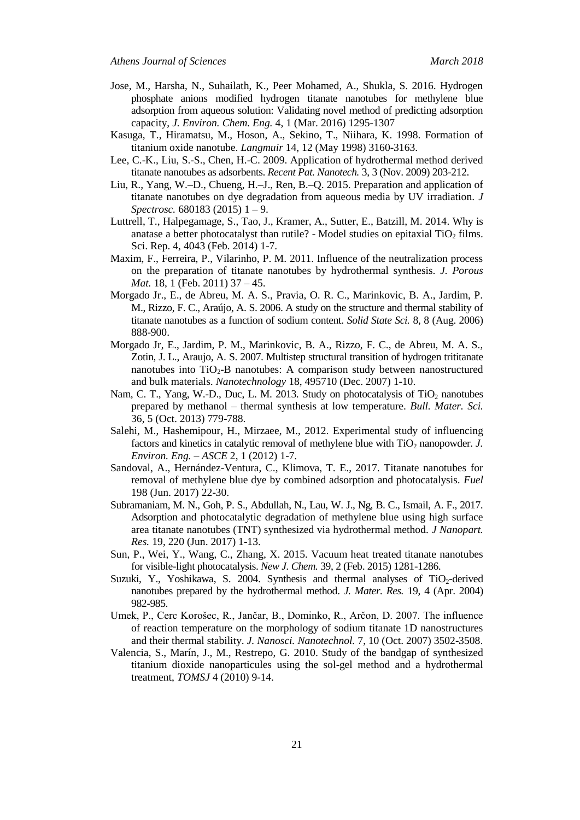- Jose, M., Harsha, N., Suhailath, K., Peer Mohamed, A., Shukla, S. 2016. Hydrogen phosphate anions modified hydrogen titanate nanotubes for methylene blue adsorption from aqueous solution: Validating novel method of predicting adsorption capacity, *J. Environ. Chem. Eng.* 4, 1 (Mar. 2016) 1295-1307
- Kasuga, T., Hiramatsu, M., Hoson, A., Sekino, T., Niihara, K. 1998. Formation of titanium oxide nanotube. *Langmuir* 14, 12 (May 1998) 3160-3163.
- Lee, C.-K., Liu, S.-S., Chen, H.-C. 2009. Application of hydrothermal method derived titanate nanotubes as adsorbents. *Recent Pat. Nanotech.* 3, 3 (Nov. 2009) 203-212.
- Liu, R., Yang, W.–D., Chueng, H.–J., Ren, B.–Q. 2015. Preparation and application of titanate nanotubes on dye degradation from aqueous media by UV irradiation. *J Spectrosc.* 680183 (2015) 1 – 9.
- Luttrell, T., Halpegamage, S., Tao, J., Kramer, A., Sutter, E., Batzill, M. 2014. Why is anatase a better photocatalyst than rutile? - Model studies on epitaxial  $TiO<sub>2</sub>$  films. Sci. Rep. 4, 4043 (Feb. 2014) 1-7.
- Maxim, F., Ferreira, P., Vilarinho, P. M. 2011. Influence of the neutralization process on the preparation of titanate nanotubes by hydrothermal synthesis. *J. Porous Mat.* 18, 1 (Feb. 2011) 37 – 45.
- Morgado Jr., E., de Abreu, M. A. S., Pravia, O. R. C., Marinkovic, B. A., Jardim, P. M., Rizzo, F. C., Araújo, A. S. 2006. A study on the structure and thermal stability of titanate nanotubes as a function of sodium content. *Solid State Sci.* 8, 8 (Aug. 2006) 888-900.
- Morgado Jr, E., Jardim, P. M., Marinkovic, B. A., Rizzo, F. C., de Abreu, M. A. S., Zotin, J. L., Araujo, A. S. 2007. Multistep structural transition of hydrogen trititanate nanotubes into  $TiO<sub>2</sub>-B$  nanotubes: A comparison study between nanostructured and bulk materials. *Nanotechnology* 18, 495710 (Dec. 2007) 1-10.
- Nam, C. T., Yang, W.-D., Duc, L. M. 2013. Study on photocatalysis of  $TiO<sub>2</sub>$  nanotubes prepared by methanol – thermal synthesis at low temperature. *Bull. Mater. Sci.* 36, 5 (Oct. 2013) 779-788.
- Salehi, M., Hashemipour, H., Mirzaee, M., 2012. Experimental study of influencing factors and kinetics in catalytic removal of methylene blue with TiO<sub>2</sub> nanopowder. *J*. *Environ. Eng.* – *ASCE* 2, 1 (2012) 1-7.
- Sandoval, A., Hernández-Ventura, C., Klimova, T. E., 2017. Titanate nanotubes for removal of methylene blue dye by combined adsorption and photocatalysis. *Fuel* 198 (Jun. 2017) 22-30.
- Subramaniam, M. N., Goh, P. S., Abdullah, N., Lau, W. J., Ng, B. C., Ismail, A. F., 2017. Adsorption and photocatalytic degradation of methylene blue using high surface area titanate nanotubes (TNT) synthesized via hydrothermal method. *J Nanopart. Res.* 19, 220 (Jun. 2017) 1-13.
- Sun, P., Wei, Y., Wang, C., Zhang, X. 2015. Vacuum heat treated titanate nanotubes for visible-light photocatalysis. *New J. Chem.* 39, 2 (Feb. 2015) 1281-1286.
- Suzuki, Y., Yoshikawa, S. 2004. Synthesis and thermal analyses of  $TiO<sub>2</sub>$ -derived nanotubes prepared by the hydrothermal method. *J. Mater. Res.* 19, 4 (Apr. 2004) 982-985.
- Umek, P., Cerc Korošec, R., Jančar, B., Dominko, R., Arčon, D. 2007. The influence of reaction temperature on the morphology of sodium titanate 1D nanostructures and their thermal stability. *J. Nanosci. Nanotechnol.* 7, 10 (Oct. 2007) 3502-3508.
- Valencia, S., Marín, J., M., Restrepo, G. 2010. Study of the bandgap of synthesized titanium dioxide nanoparticules using the sol-gel method and a hydrothermal treatment, *TOMSJ* 4 (2010) 9-14.